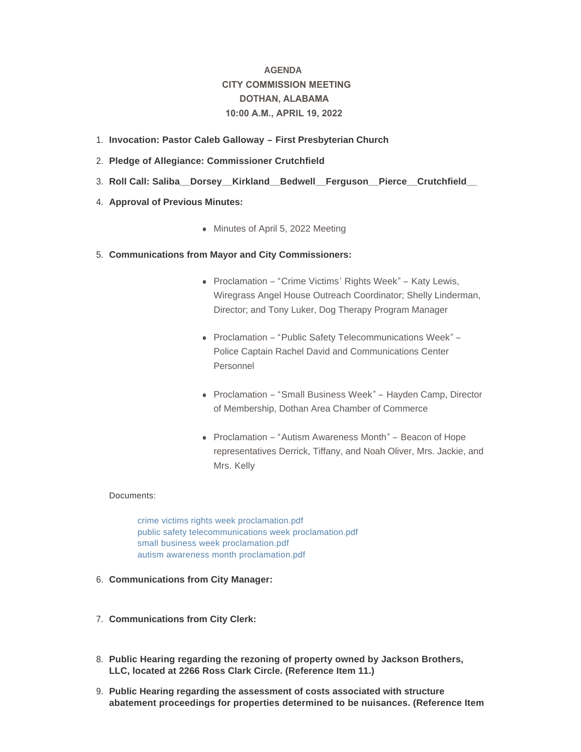# **AGENDA CITY COMMISSION MEETING DOTHAN, ALABAMA 10:00 A.M., APRIL 19, 2022**

- **Invocation: Pastor Caleb Galloway – First Presbyterian Church** 1.
- **Pledge of Allegiance: Commissioner Crutchfield** 2.
- **Roll Call: Saliba\_\_Dorsey\_\_Kirkland\_\_Bedwell\_\_Ferguson\_\_Pierce\_\_Crutchfield\_\_**  3.
- 4. **Approval of Previous Minutes:** 
	- Minutes of April 5, 2022 Meeting

# **Communications from Mayor and City Commissioners:** 5.

- Proclamation "Crime Victims' Rights Week" Katy Lewis, Wiregrass Angel House Outreach Coordinator; Shelly Linderman, Director; and Tony Luker, Dog Therapy Program Manager
- Proclamation "Public Safety Telecommunications Week" Police Captain Rachel David and Communications Center Personnel
- Proclamation "Small Business Week" Hayden Camp, Director of Membership, Dothan Area Chamber of Commerce
- Proclamation "Autism Awareness Month" Beacon of Hope representatives Derrick, Tiffany, and Noah Oliver, Mrs. Jackie, and Mrs. Kelly

# Documents:

[crime victims rights week proclamation.pdf](http://www.dothan.org/AgendaCenter/ViewFile/Item/7721?fileID=12344) [public safety telecommunications week proclamation.pdf](http://www.dothan.org/AgendaCenter/ViewFile/Item/7721?fileID=12345) [small business week proclamation.pdf](http://www.dothan.org/AgendaCenter/ViewFile/Item/7721?fileID=12346) [autism awareness month proclamation.pdf](http://www.dothan.org/AgendaCenter/ViewFile/Item/7721?fileID=12347)

- **Communications from City Manager:** 6.
- **Communications from City Clerk:** 7.
- **Public Hearing regarding the rezoning of property owned by Jackson Brothers,**  8. **LLC, located at 2266 Ross Clark Circle. (Reference Item 11.)**
- **Public Hearing regarding the assessment of costs associated with structure**  9. **abatement proceedings for properties determined to be nuisances. (Reference Item**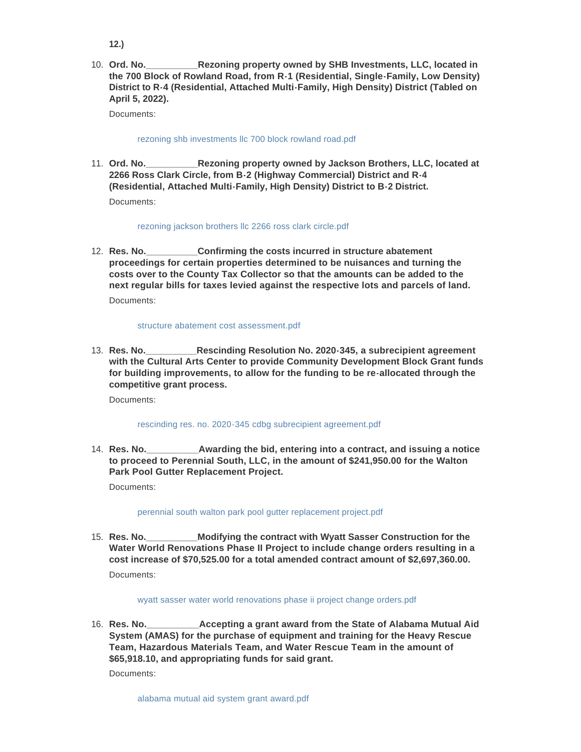- **12.)**
- **Rezoning property owned by SHB Investments, LLC, located in the 700 Block of Rowland Road, from R-1 (Residential, Single-Family, Low Density) District to R-4 (Residential, Attached Multi-Family, High Density) District (Tabled on April 5, 2022).** 10. Ord. No.

Documents:

# [rezoning shb investments llc 700 block rowland road.pdf](http://www.dothan.org/AgendaCenter/ViewFile/Item/7701?fileID=12328)

Rezoning property owned by Jackson Brothers, LLC, located at **2266 Ross Clark Circle, from B-2 (Highway Commercial) District and R-4 (Residential, Attached Multi-Family, High Density) District to B-2 District.** 11. Ord. No. Documents:

# [rezoning jackson brothers llc 2266 ross clark circle.pdf](http://www.dothan.org/AgendaCenter/ViewFile/Item/7702?fileID=12329)

**Confirming the costs incurred in structure abatement proceedings for certain properties determined to be nuisances and turning the costs over to the County Tax Collector so that the amounts can be added to the next regular bills for taxes levied against the respective lots and parcels of land.** 12. Res. No. Documents:

# [structure abatement cost assessment.pdf](http://www.dothan.org/AgendaCenter/ViewFile/Item/7703?fileID=12330)

**Rescinding Resolution No. 2020-345, a subrecipient agreement with the Cultural Arts Center to provide Community Development Block Grant funds for building improvements, to allow for the funding to be re-allocated through the competitive grant process.** 13. Res. No.

Documents:

# [rescinding res. no. 2020-345 cdbg subrecipient agreement.pdf](http://www.dothan.org/AgendaCenter/ViewFile/Item/7704?fileID=12331)

**Awarding the bid, entering into a contract, and issuing a notice to proceed to Perennial South, LLC, in the amount of \$241,950.00 for the Walton Park Pool Gutter Replacement Project.** 14. Res. No.

Documents:

# [perennial south walton park pool gutter replacement project.pdf](http://www.dothan.org/AgendaCenter/ViewFile/Item/7705?fileID=12332)

**Modifying the contract with Wyatt Sasser Construction for the Water World Renovations Phase II Project to include change orders resulting in a cost increase of \$70,525.00 for a total amended contract amount of \$2,697,360.00.** 15. **Res. No.** Documents:

# [wyatt sasser water world renovations phase ii project change orders.pdf](http://www.dothan.org/AgendaCenter/ViewFile/Item/7706?fileID=12333)

**Accepting a grant award from the State of Alabama Mutual Aid System (AMAS) for the purchase of equipment and training for the Heavy Rescue Team, Hazardous Materials Team, and Water Rescue Team in the amount of \$65,918.10, and appropriating funds for said grant.** 16. Res. No.

Documents: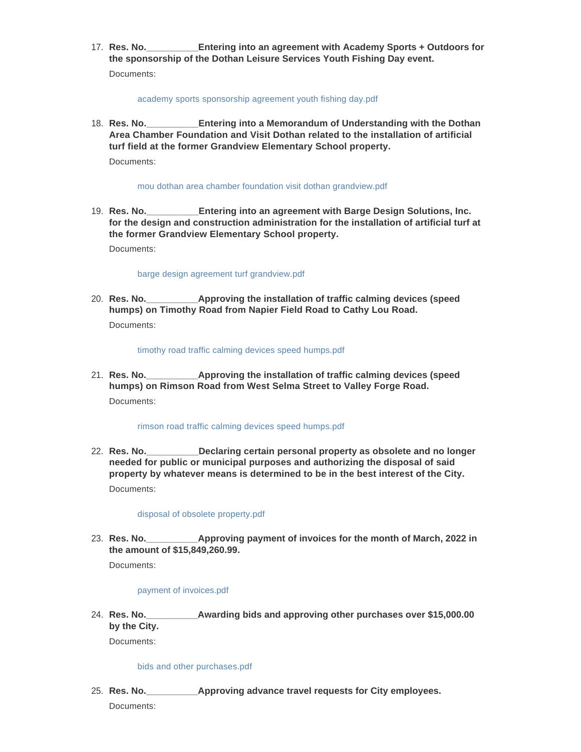**Entering into an agreement with Academy Sports + Outdoors for the sponsorship of the Dothan Leisure Services Youth Fishing Day event.** 17. **Res. No.** Documents:

#### [academy sports sponsorship agreement youth fishing day.pdf](http://www.dothan.org/AgendaCenter/ViewFile/Item/7708?fileID=12335)

**Entering into a Memorandum of Understanding with the Dothan Area Chamber Foundation and Visit Dothan related to the installation of artificial turf field at the former Grandview Elementary School property.** 18. **Res. No.** Documents:

#### [mou dothan area chamber foundation visit dothan grandview.pdf](http://www.dothan.org/AgendaCenter/ViewFile/Item/7709?fileID=12336)

**Entering into an agreement with Barge Design Solutions, Inc. for the design and construction administration for the installation of artificial turf at the former Grandview Elementary School property.** 19. **Res. No.** 

Documents:

# [barge design agreement turf grandview.pdf](http://www.dothan.org/AgendaCenter/ViewFile/Item/7710?fileID=12337)

**Approving the installation of traffic calming devices (speed) humps) on Timothy Road from Napier Field Road to Cathy Lou Road.** 20. Res. No. Documents:

[timothy road traffic calming devices speed humps.pdf](http://www.dothan.org/AgendaCenter/ViewFile/Item/7711?fileID=12338)

**\_\_Approving the installation of traffic calming devices (speed humps) on Rimson Road from West Selma Street to Valley Forge Road.** 21. **Res. No.** Documents:

#### [rimson road traffic calming devices speed humps.pdf](http://www.dothan.org/AgendaCenter/ViewFile/Item/7712?fileID=12339)

**\_\_Declaring certain personal property as obsolete and no longer needed for public or municipal purposes and authorizing the disposal of said property by whatever means is determined to be in the best interest of the City.** 22. Res. No. Documents:

#### [disposal of obsolete property.pdf](http://www.dothan.org/AgendaCenter/ViewFile/Item/7713?fileID=12340)

Approving payment of invoices for the month of March, 2022 in **the amount of \$15,849,260.99.** 23. Res. No.

Documents:

# [payment of invoices.pdf](http://www.dothan.org/AgendaCenter/ViewFile/Item/7714?fileID=12341)

**Res. No.\_\_\_\_\_\_\_\_\_\_Awarding bids and approving other purchases over \$15,000.00 by the City.** 24. Res. No.

Documents:

# [bids and other purchases.pdf](http://www.dothan.org/AgendaCenter/ViewFile/Item/7715?fileID=12342)

- **Approving advance travel requests for City employees.** 25. **Res. No.** 
	- Documents: